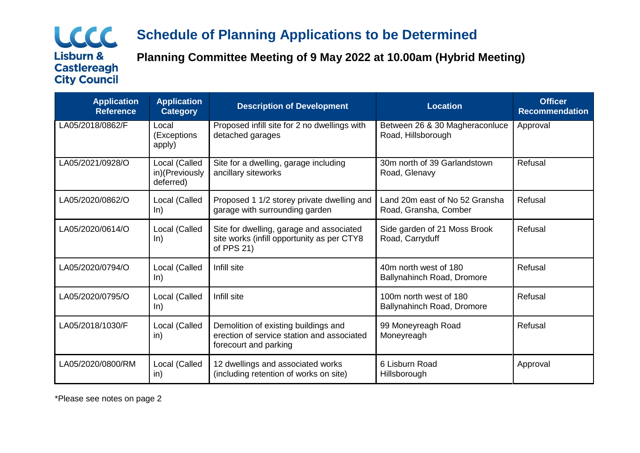## <u>LCCC.</u> **Lisburn & Castlereagh City Council**

# **Schedule of Planning Applications to be Determined**

**Planning Committee Meeting of 9 May 2022 at 10.00am (Hybrid Meeting)**

| <b>Application</b><br><b>Reference</b> | <b>Application</b><br><b>Category</b>        | <b>Description of Development</b>                                                                           | <b>Location</b>                                         | <b>Officer</b><br><b>Recommendation</b> |
|----------------------------------------|----------------------------------------------|-------------------------------------------------------------------------------------------------------------|---------------------------------------------------------|-----------------------------------------|
| LA05/2018/0862/F                       | Local<br>(Exceptions<br>apply)               | Proposed infill site for 2 no dwellings with<br>detached garages                                            | Between 26 & 30 Magheraconluce<br>Road, Hillsborough    | Approval                                |
| LA05/2021/0928/O                       | Local (Called<br>in)(Previously<br>deferred) | Site for a dwelling, garage including<br>ancillary siteworks                                                | 30m north of 39 Garlandstown<br>Road, Glenavy           | Refusal                                 |
| LA05/2020/0862/O                       | Local (Called<br>ln)                         | Proposed 1 1/2 storey private dwelling and<br>garage with surrounding garden                                | Land 20m east of No 52 Gransha<br>Road, Gransha, Comber | Refusal                                 |
| LA05/2020/0614/O                       | Local (Called<br>ln)                         | Site for dwelling, garage and associated<br>site works (infill opportunity as per CTY8<br>of PPS 21)        | Side garden of 21 Moss Brook<br>Road, Carryduff         | Refusal                                 |
| LA05/2020/0794/O                       | Local (Called<br>ln)                         | Infill site                                                                                                 | 40m north west of 180<br>Ballynahinch Road, Dromore     | Refusal                                 |
| LA05/2020/0795/O                       | Local (Called<br>ln)                         | Infill site                                                                                                 | 100m north west of 180<br>Ballynahinch Road, Dromore    | Refusal                                 |
| LA05/2018/1030/F                       | Local (Called<br>in)                         | Demolition of existing buildings and<br>erection of service station and associated<br>forecourt and parking | 99 Moneyreagh Road<br>Moneyreagh                        | Refusal                                 |
| LA05/2020/0800/RM                      | Local (Called<br>in)                         | 12 dwellings and associated works<br>(including retention of works on site)                                 | 6 Lisburn Road<br>Hillsborough                          | Approval                                |

\*Please see notes on page 2